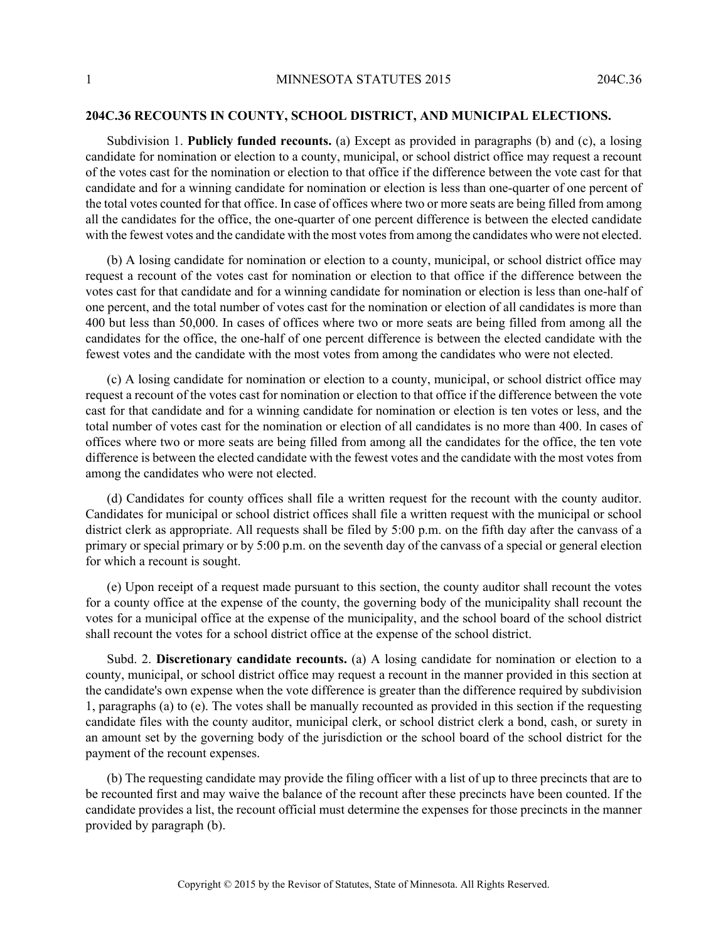## **204C.36 RECOUNTS IN COUNTY, SCHOOL DISTRICT, AND MUNICIPAL ELECTIONS.**

Subdivision 1. **Publicly funded recounts.** (a) Except as provided in paragraphs (b) and (c), a losing candidate for nomination or election to a county, municipal, or school district office may request a recount of the votes cast for the nomination or election to that office if the difference between the vote cast for that candidate and for a winning candidate for nomination or election is less than one-quarter of one percent of the total votes counted for that office. In case of offices where two or more seats are being filled from among all the candidates for the office, the one-quarter of one percent difference is between the elected candidate with the fewest votes and the candidate with the most votes from among the candidates who were not elected.

(b) A losing candidate for nomination or election to a county, municipal, or school district office may request a recount of the votes cast for nomination or election to that office if the difference between the votes cast for that candidate and for a winning candidate for nomination or election is less than one-half of one percent, and the total number of votes cast for the nomination or election of all candidates is more than 400 but less than 50,000. In cases of offices where two or more seats are being filled from among all the candidates for the office, the one-half of one percent difference is between the elected candidate with the fewest votes and the candidate with the most votes from among the candidates who were not elected.

(c) A losing candidate for nomination or election to a county, municipal, or school district office may request a recount of the votes cast for nomination or election to that office if the difference between the vote cast for that candidate and for a winning candidate for nomination or election is ten votes or less, and the total number of votes cast for the nomination or election of all candidates is no more than 400. In cases of offices where two or more seats are being filled from among all the candidates for the office, the ten vote difference is between the elected candidate with the fewest votes and the candidate with the most votes from among the candidates who were not elected.

(d) Candidates for county offices shall file a written request for the recount with the county auditor. Candidates for municipal or school district offices shall file a written request with the municipal or school district clerk as appropriate. All requests shall be filed by 5:00 p.m. on the fifth day after the canvass of a primary or special primary or by 5:00 p.m. on the seventh day of the canvass of a special or general election for which a recount is sought.

(e) Upon receipt of a request made pursuant to this section, the county auditor shall recount the votes for a county office at the expense of the county, the governing body of the municipality shall recount the votes for a municipal office at the expense of the municipality, and the school board of the school district shall recount the votes for a school district office at the expense of the school district.

Subd. 2. **Discretionary candidate recounts.** (a) A losing candidate for nomination or election to a county, municipal, or school district office may request a recount in the manner provided in this section at the candidate's own expense when the vote difference is greater than the difference required by subdivision 1, paragraphs (a) to (e). The votes shall be manually recounted as provided in this section if the requesting candidate files with the county auditor, municipal clerk, or school district clerk a bond, cash, or surety in an amount set by the governing body of the jurisdiction or the school board of the school district for the payment of the recount expenses.

(b) The requesting candidate may provide the filing officer with a list of up to three precincts that are to be recounted first and may waive the balance of the recount after these precincts have been counted. If the candidate provides a list, the recount official must determine the expenses for those precincts in the manner provided by paragraph (b).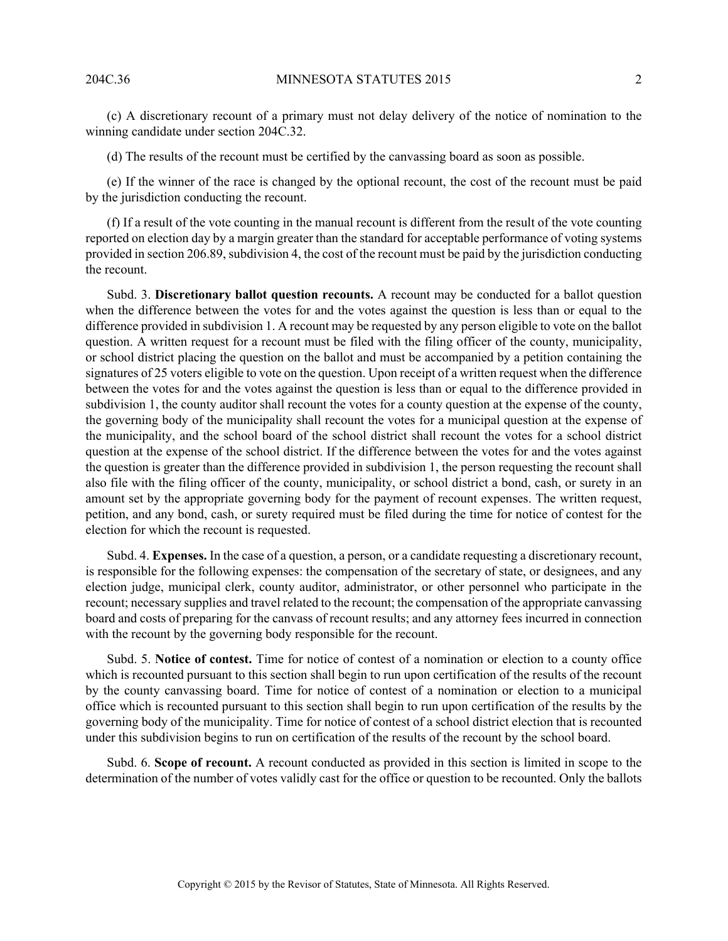(c) A discretionary recount of a primary must not delay delivery of the notice of nomination to the winning candidate under section 204C.32.

(d) The results of the recount must be certified by the canvassing board as soon as possible.

(e) If the winner of the race is changed by the optional recount, the cost of the recount must be paid by the jurisdiction conducting the recount.

(f) If a result of the vote counting in the manual recount is different from the result of the vote counting reported on election day by a margin greater than the standard for acceptable performance of voting systems provided in section 206.89, subdivision 4, the cost of the recount must be paid by the jurisdiction conducting the recount.

Subd. 3. **Discretionary ballot question recounts.** A recount may be conducted for a ballot question when the difference between the votes for and the votes against the question is less than or equal to the difference provided in subdivision 1. A recount may be requested by any person eligible to vote on the ballot question. A written request for a recount must be filed with the filing officer of the county, municipality, or school district placing the question on the ballot and must be accompanied by a petition containing the signatures of 25 voters eligible to vote on the question. Upon receipt of a written request when the difference between the votes for and the votes against the question is less than or equal to the difference provided in subdivision 1, the county auditor shall recount the votes for a county question at the expense of the county, the governing body of the municipality shall recount the votes for a municipal question at the expense of the municipality, and the school board of the school district shall recount the votes for a school district question at the expense of the school district. If the difference between the votes for and the votes against the question is greater than the difference provided in subdivision 1, the person requesting the recount shall also file with the filing officer of the county, municipality, or school district a bond, cash, or surety in an amount set by the appropriate governing body for the payment of recount expenses. The written request, petition, and any bond, cash, or surety required must be filed during the time for notice of contest for the election for which the recount is requested.

Subd. 4. **Expenses.** In the case of a question, a person, or a candidate requesting a discretionary recount, is responsible for the following expenses: the compensation of the secretary of state, or designees, and any election judge, municipal clerk, county auditor, administrator, or other personnel who participate in the recount; necessary supplies and travel related to the recount; the compensation of the appropriate canvassing board and costs of preparing for the canvass of recount results; and any attorney fees incurred in connection with the recount by the governing body responsible for the recount.

Subd. 5. **Notice of contest.** Time for notice of contest of a nomination or election to a county office which is recounted pursuant to this section shall begin to run upon certification of the results of the recount by the county canvassing board. Time for notice of contest of a nomination or election to a municipal office which is recounted pursuant to this section shall begin to run upon certification of the results by the governing body of the municipality. Time for notice of contest of a school district election that is recounted under this subdivision begins to run on certification of the results of the recount by the school board.

Subd. 6. **Scope of recount.** A recount conducted as provided in this section is limited in scope to the determination of the number of votes validly cast for the office or question to be recounted. Only the ballots